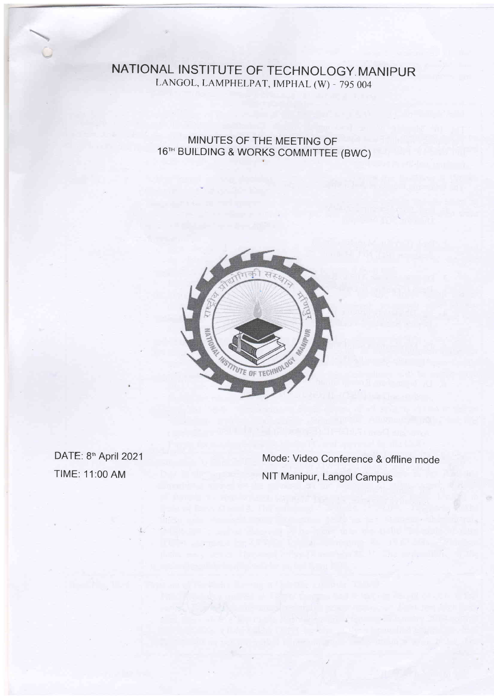## NATIONAL INSTITUTE OF TECHNOLOGY MANIPUR LANGOL, LAMPHELPAT, IMPHAL (W) - 795 004

MINUTES OF THE MEETING OF 16TH BUILDING & WORKS COMMITTEE (BWC)



DATE: 8th April 2021 TIME: 11:00 AM

Mode: Video Conference & offline mode NIT Manipur, Langol Campus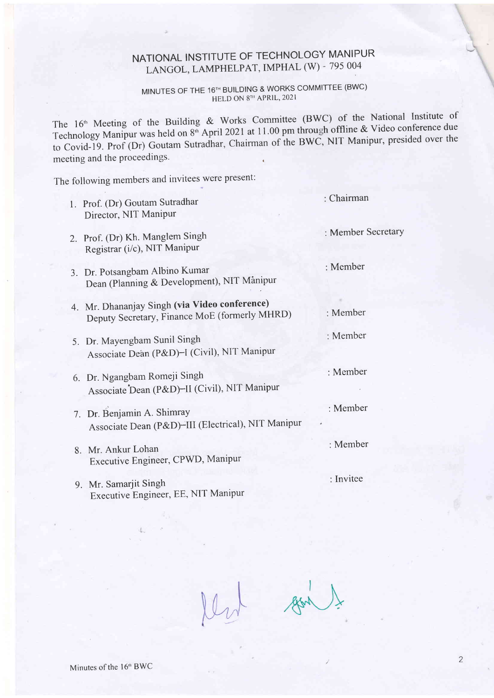## NATIONAL INSTITUTE OF TECHNOLOGY MANIPUR LANGOL, LAMPHELPAT, IMPHAL (W) - 795 004

## MINUTES OF THE 16TH BUILDING & WORKS COMMITTEE (BWC) HELD ON 8TH APRIL, 2021

The 16<sup>th</sup> Meeting of the Building & Works Committee (BWC) of the National Institute of Technology Manipur was held on 8<sup>th</sup> April 2021 at 11.00 pm through offline & Video conference due to Covid-19. Prof (Dr) Goutam Sutradhar, Chairman of the BWC, NIT Manipur, presided over the meeting and the proceedings.

The following members and invitees were present:

| 1. Prof. (Dr) Goutam Sutradhar<br>Director, NIT Manipur                                        | $:$ Chairman       |
|------------------------------------------------------------------------------------------------|--------------------|
| 2. Prof. (Dr) Kh. Manglem Singh<br>Registrar (i/c), NIT Manipur                                | : Member Secretary |
| Dr. Potsangbam Albino Kumar<br>3.<br>Dean (Planning & Development), NIT Manipur                | : Member           |
| 4. Mr. Dhananjay Singh (via Video conference)<br>Deputy Secretary, Finance MoE (formerly MHRD) | : Member           |
| 5. Dr. Mayengbam Sunil Singh<br>Associate Dean (P&D)-I (Civil), NIT Manipur                    | : Member           |
| 6. Dr. Ngangbam Romeji Singh<br>Associate Dean (P&D)-II (Civil), NIT Manipur                   | : Member           |
| 7. Dr. Benjamin A. Shimray<br>Associate Dean (P&D)-III (Electrical), NIT Manipur               | : Member           |
| 8. Mr. Ankur Lohan<br>Executive Engineer, CPWD, Manipur                                        | : Member           |
| 9. Mr. Samarjit Singh<br>Executive Engineer, EE, NIT Manipur                                   | : Invitee          |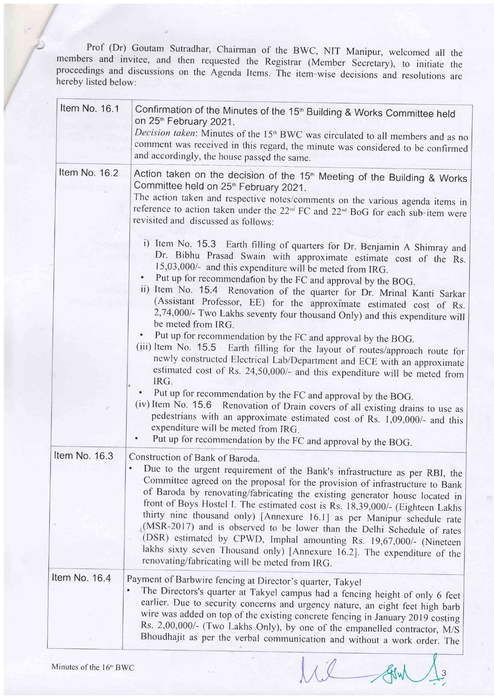Prof (Dr) Goutam Sutradhar, Chairman of the BWC, NIT Manipur, welcomed all the members and invitee, and then requested the Registrar (Member Secretary), to initiate the proceedings and discussions on the Agenda Items. The item-wise decisions and resolutions are hereby listed below:

| Item No. 16.1 | Confirmation of the Minutes of the 15 <sup>th</sup> Building & Works Committee held<br>on 25 <sup>th</sup> February 2021.<br>Decision taken: Minutes of the 15 <sup>th</sup> BWC was circulated to all members and as no<br>comment was received in this regard, the minute was considered to be confirmed<br>and accordingly, the house passed the same.                                                                                                                                                                                                                                                                                                                                                                                                                                                                                                                                                                                                                                                                                                                                                                                                                                                                                                                                                                                                                                                                                                                                                                                                              |
|---------------|------------------------------------------------------------------------------------------------------------------------------------------------------------------------------------------------------------------------------------------------------------------------------------------------------------------------------------------------------------------------------------------------------------------------------------------------------------------------------------------------------------------------------------------------------------------------------------------------------------------------------------------------------------------------------------------------------------------------------------------------------------------------------------------------------------------------------------------------------------------------------------------------------------------------------------------------------------------------------------------------------------------------------------------------------------------------------------------------------------------------------------------------------------------------------------------------------------------------------------------------------------------------------------------------------------------------------------------------------------------------------------------------------------------------------------------------------------------------------------------------------------------------------------------------------------------------|
| Item No. 16.2 | Action taken on the decision of the 15 <sup>th</sup> Meeting of the Building & Works<br>Committee held on 25 <sup>th</sup> February 2021.<br>The action taken and respective notes/comments on the various agenda items in<br>reference to action taken under the 22 <sup>nd</sup> FC and 22 <sup>nd</sup> BoG for each sub-item were<br>revisited and discussed as follows:<br>i) Item No. 15.3 Earth filling of quarters for Dr. Benjamin A Shimray and<br>Dr. Bibhu Prasad Swain with approximate estimate cost of the Rs.<br>15,03,000/- and this expenditure will be meted from IRG.<br>Put up for recommendation by the FC and approval by the BOG.<br>ii) Item No. 15.4 Renovation of the quarter for Dr. Mrinal Kanti Sarkar<br>(Assistant Professor, EE) for the approximate estimated cost of Rs.<br>2,74,000/- Two Lakhs seventy four thousand Only) and this expenditure will<br>be meted from IRG.<br>Put up for recommendation by the FC and approval by the BOG.<br>(iii) Item No. 15.5 Earth filling for the layout of routes/approach route for<br>newly constructed Electrical Lab/Department and ECE with an approximate<br>estimated cost of Rs. 24,50,000/- and this expenditure will be meted from<br>IRG.<br>Put up for recommendation by the FC and approval by the BOG.<br>(iv) Item No. 15.6 Renovation of Drain covers of all existing drains to use as<br>pedestrians with an approximate estimated cost of Rs. 1,09,000/- and this<br>expenditure will be meted from IRG.<br>Put up for recommendation by the FC and approval by the BOG. |
| Item No. 16.3 | Construction of Bank of Baroda.<br>$\bullet$<br>Due to the urgent requirement of the Bank's infrastructure as per RBI, the<br>Committee agreed on the proposal for the provision of infrastructure to Bank<br>of Baroda by renovating/fabricating the existing generator house located in<br>front of Boys Hostel I. The estimated cost is Rs. 18,39,000/- (Eighteen Lakhs<br>thirty nine thousand only) [Annexure 16.1] as per Manipur schedule rate<br>(MSR-2017) and is observed to be lower than the Delhi Schedule of rates<br>(DSR) estimated by CPWD, Imphal amounting Rs. 19,67,000/- (Nineteen<br>lakhs sixty seven Thousand only) [Annexure 16.2]. The expenditure of the<br>renovating/fabricating will be meted from IRG.                                                                                                                                                                                                                                                                                                                                                                                                                                                                                                                                                                                                                                                                                                                                                                                                                                  |
| Item No. 16.4 | Payment of Barbwire fencing at Director's quarter, Takyel<br>The Directors's quarter at Takyel campus had a fencing height of only 6 feet<br>earlier. Due to security concerns and urgency nature, an eight feet high barb<br>wire was added on top of the existing concrete fencing in January 2019 costing<br>Rs. 2,00,000/- (Two Lakhs Only), by one of the empanelled contractor, M/S<br>Bhoudhajit as per the verbal communication and without a work order. The                                                                                                                                                                                                                                                                                                                                                                                                                                                                                                                                                                                                                                                                                                                                                                                                                                                                                                                                                                                                                                                                                                  |

lil And 3